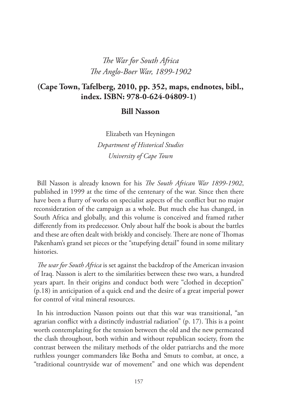# *The War for South Africa The Anglo-Boer War, 1899-1902*

#### **(Cape Town, Tafelberg, 2010, pp. 352, maps, endnotes, bibl., index. ISBN: 978-0-624-04809-1)**

#### **Bill Nasson**

Elizabeth van Heyningen *Department of Historical Studies University of Cape Town*

Bill Nasson is already known for his *The South African War 1899-1902*, published in 1999 at the time of the centenary of the war. Since then there have been a flurry of works on specialist aspects of the conflict but no major reconsideration of the campaign as a whole. But much else has changed, in South Africa and globally, and this volume is conceived and framed rather differently from its predecessor. Only about half the book is about the battles and these are often dealt with briskly and concisely. There are none of Thomas Pakenham's grand set pieces or the "stupefying detail" found in some military histories.

*The war for South Africa* is set against the backdrop of the American invasion of Iraq. Nasson is alert to the similarities between these two wars, a hundred years apart. In their origins and conduct both were "clothed in deception" (p.18) in anticipation of a quick end and the desire of a great imperial power for control of vital mineral resources.

In his introduction Nasson points out that this war was transitional, "an agrarian conflict with a distinctly industrial radiation" (p. 17). This is a point worth contemplating for the tension between the old and the new permeated the clash throughout, both within and without republican society, from the contrast between the military methods of the older patriarchs and the more ruthless younger commanders like Botha and Smuts to combat, at once, a "traditional countryside war of movement" and one which was dependent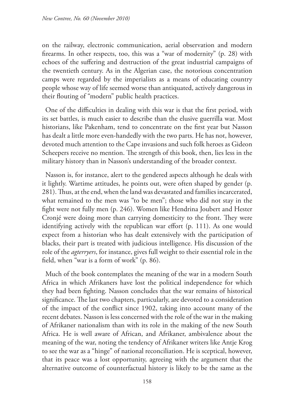on the railway, electronic communication, aerial observation and modern firearms. In other respects, too, this was a "war of modernity" (p. 28) with echoes of the suffering and destruction of the great industrial campaigns of the twentieth century. As in the Algerian case, the notorious concentration camps were regarded by the imperialists as a means of educating country people whose way of life seemed worse than antiquated, actively dangerous in their flouting of "modern" public health practices.

One of the difficulties in dealing with this war is that the first period, with its set battles, is much easier to describe than the elusive guerrilla war. Most historians, like Pakenham, tend to concentrate on the first year but Nasson has dealt a little more even-handedly with the two parts. He has not, however, devoted much attention to the Cape invasions and such folk heroes as Gideon Scheepers receive no mention. The strength of this book, then, lies less in the military history than in Nasson's understanding of the broader context.

Nasson is, for instance, alert to the gendered aspects although he deals with it lightly. Wartime attitudes, he points out, were often shaped by gender (p. 281). Thus, at the end, when the land was devastated and families incarcerated, what remained to the men was "to be men"; those who did not stay in the fight were not fully men (p. 246). Women like Hendrina Joubert and Hester Cronjé were doing more than carrying domesticity to the front. They were identifying actively with the republican war effort (p. 111). As one would expect from a historian who has dealt extensively with the participation of blacks, their part is treated with judicious intelligence. His discussion of the role of the *agterryers*, for instance, gives full weight to their essential role in the field, when "war is a form of work" (p. 86).

Much of the book contemplates the meaning of the war in a modern South Africa in which Afrikaners have lost the political independence for which they had been fighting. Nasson concludes that the war remains of historical significance. The last two chapters, particularly, are devoted to a consideration of the impact of the conflict since 1902, taking into account many of the recent debates. Nasson is less concerned with the role of the war in the making of Afrikaner nationalism than with its role in the making of the new South Africa. He is well aware of African, and Afrikaner, ambivalence about the meaning of the war, noting the tendency of Afrikaner writers like Antje Krog to see the war as a "hinge" of national reconciliation. He is sceptical, however, that its peace was a lost opportunity, agreeing with the argument that the alternative outcome of counterfactual history is likely to be the same as the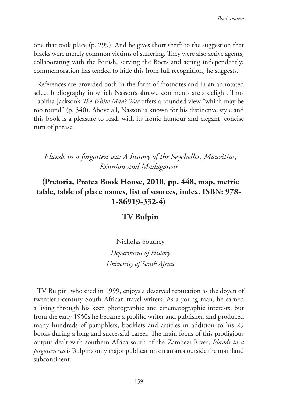one that took place (p. 299). And he gives short shrift to the suggestion that blacks were merely common victims of suffering. They were also active agents, collaborating with the British, serving the Boers and acting independently; commemoration has tended to hide this from full recognition, he suggests.

References are provided both in the form of footnotes and in an annotated select bibliography in which Nasson's shrewd comments are a delight. Thus Tabitha Jackson's *The White Man's War* offers a rounded view "which may be too round" (p. 340). Above all, Nasson is known for his distinctive style and this book is a pleasure to read, with its ironic humour and elegant, concise turn of phrase.

### *Islands in a forgotten sea: A history of the Seychelles, Mauritius, Réunion and Madagascar*

# **(Pretoria, Protea Book House, 2010, pp. 448, map, metric table, table of place names, list of sources, index. ISBN: 978- 1-86919-332-4)**

#### **TV Bulpin**

Nicholas Southey *Department of History University of South Africa*

TV Bulpin, who died in 1999, enjoys a deserved reputation as the doyen of twentieth-century South African travel writers. As a young man, he earned a living through his keen photographic and cinematographic interests, but from the early 1950s he became a prolific writer and publisher, and produced many hundreds of pamphlets, booklets and articles in addition to his 29 books during a long and successful career. The main focus of this prodigious output dealt with southern Africa south of the Zambezi River; *Islands in a forgotten sea* is Bulpin's only major publication on an area outside the mainland subcontinent.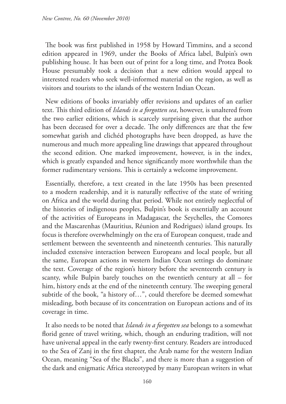The book was first published in 1958 by Howard Timmins, and a second edition appeared in 1969, under the Books of Africa label, Bulpin's own publishing house. It has been out of print for a long time, and Protea Book House presumably took a decision that a new edition would appeal to interested readers who seek well-informed material on the region, as well as visitors and tourists to the islands of the western Indian Ocean.

New editions of books invariably offer revisions and updates of an earlier text. This third edition of *Islands in a forgotten sea*, however, is unaltered from the two earlier editions, which is scarcely surprising given that the author has been deceased for over a decade. The only differences are that the few somewhat garish and clichéd photographs have been dropped, as have the numerous and much more appealing line drawings that appeared throughout the second edition. One marked improvement, however, is in the index, which is greatly expanded and hence significantly more worthwhile than the former rudimentary versions. This is certainly a welcome improvement.

Essentially, therefore, a text created in the late 1950s has been presented to a modern readership, and it is naturally reflective of the state of writing on Africa and the world during that period. While not entirely neglectful of the histories of indigenous peoples, Bulpin's book is essentially an account of the activities of Europeans in Madagascar, the Seychelles, the Comores and the Mascarenhas (Mauritius, Réunion and Rodrigues) island groups. Its focus is therefore overwhelmingly on the era of European conquest, trade and settlement between the seventeenth and nineteenth centuries. This naturally included extensive interaction between Europeans and local people, but all the same, European actions in western Indian Ocean settings do dominate the text. Coverage of the region's history before the seventeenth century is scanty, while Bulpin barely touches on the twentieth century at all – for him, history ends at the end of the nineteenth century. The sweeping general subtitle of the book, "a history of…", could therefore be deemed somewhat misleading, both because of its concentration on European actions and of its coverage in time.

It also needs to be noted that *Islands in a forgotten sea* belongs to a somewhat florid genre of travel writing, which, though an enduring tradition, will not have universal appeal in the early twenty-first century. Readers are introduced to the Sea of Zanj in the first chapter, the Arab name for the western Indian Ocean, meaning "Sea of the Blacks", and there is more than a suggestion of the dark and enigmatic Africa stereotyped by many European writers in what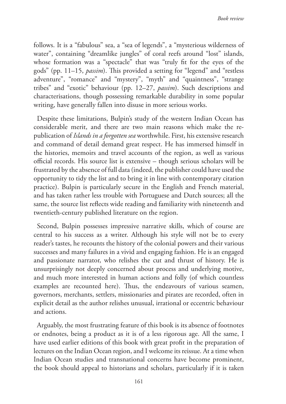follows. It is a "fabulous" sea, a "sea of legends", a "mysterious wilderness of water", containing "dreamlike jungles" of coral reefs around "lost" islands, whose formation was a "spectacle" that was "truly fit for the eyes of the gods" (pp. 11–15, *passim*). This provided a setting for "legend" and "restless adventure", "romance" and "mystery", "myth" and "quaintness", "strange tribes" and "exotic" behaviour (pp. 12–27, *passim*). Such descriptions and characterisations, though possessing remarkable durability in some popular writing, have generally fallen into disuse in more serious works.

Despite these limitations, Bulpin's study of the western Indian Ocean has considerable merit, and there are two main reasons which make the republication of *Islands in a forgotten sea* worthwhile. First, his extensive research and command of detail demand great respect. He has immersed himself in the histories, memoirs and travel accounts of the region, as well as various official records. His source list is extensive – though serious scholars will be frustrated by the absence of full data (indeed, the publisher could have used the opportunity to tidy the list and to bring it in line with contemporary citation practice). Bulpin is particularly secure in the English and French material, and has taken rather less trouble with Portuguese and Dutch sources; all the same, the source list reflects wide reading and familiarity with nineteenth and twentieth-century published literature on the region.

Second, Bulpin possesses impressive narrative skills, which of course are central to his success as a writer. Although his style will not be to every reader's tastes, he recounts the history of the colonial powers and their various successes and many failures in a vivid and engaging fashion. He is an engaged and passionate narrator, who relishes the cut and thrust of history. He is unsurprisingly not deeply concerned about process and underlying motive, and much more interested in human actions and folly (of which countless examples are recounted here). Thus, the endeavours of various seamen, governors, merchants, settlers, missionaries and pirates are recorded, often in explicit detail as the author relishes unusual, irrational or eccentric behaviour and actions.

Arguably, the most frustrating feature of this book is its absence of footnotes or endnotes, being a product as it is of a less rigorous age. All the same, I have used earlier editions of this book with great profit in the preparation of lectures on the Indian Ocean region, and I welcome its reissue. At a time when Indian Ocean studies and transnational concerns have become prominent, the book should appeal to historians and scholars, particularly if it is taken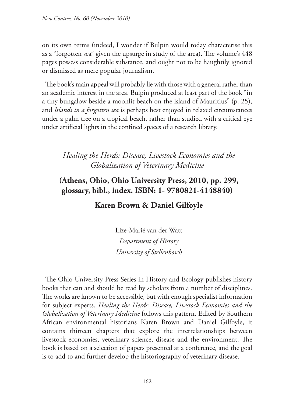on its own terms (indeed, I wonder if Bulpin would today characterise this as a "forgotten sea" given the upsurge in study of the area). The volume's 448 pages possess considerable substance, and ought not to be haughtily ignored or dismissed as mere popular journalism.

The book's main appeal will probably lie with those with a general rather than an academic interest in the area. Bulpin produced at least part of the book "in a tiny bungalow beside a moonlit beach on the island of Mauritius" (p. 25), and *Islands in a forgotten sea* is perhaps best enjoyed in relaxed circumstances under a palm tree on a tropical beach, rather than studied with a critical eye under artificial lights in the confined spaces of a research library.

# *Healing the Herds: Disease, Livestock Economies and the Globalization of Veterinary Medicine*

# **(Athens, Ohio, Ohio University Press, 2010, pp. 299, glossary, bibl., index. ISBN: 1- 9780821-4148840)**

#### **Karen Brown & Daniel Gilfoyle**

Lize-Marié van der Watt *Department of History University of Stellenbosch*

The Ohio University Press Series in History and Ecology publishes history books that can and should be read by scholars from a number of disciplines. The works are known to be accessible, but with enough specialist information for subject experts. *Healing the Herds: Disease, Livestock Economies and the Globalization of Veterinary Medicine* follows this pattern. Edited by Southern African environmental historians Karen Brown and Daniel Gilfoyle, it contains thirteen chapters that explore the interrelationships between livestock economies, veterinary science, disease and the environment. The book is based on a selection of papers presented at a conference, and the goal is to add to and further develop the historiography of veterinary disease.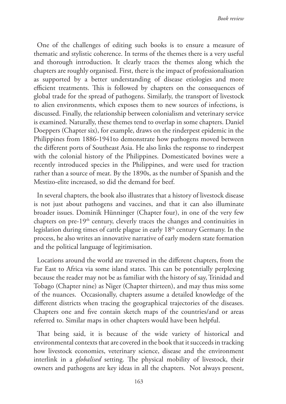One of the challenges of editing such books is to ensure a measure of thematic and stylistic coherence. In terms of the themes there is a very useful and thorough introduction. It clearly traces the themes along which the chapters are roughly organised. First, there is the impact of professionalisation as supported by a better understanding of disease etiologies and more efficient treatments. This is followed by chapters on the consequences of global trade for the spread of pathogens. Similarly, the transport of livestock to alien environments, which exposes them to new sources of infections, is discussed. Finally, the relationship between colonialism and veterinary service is examined. Naturally, these themes tend to overlap in some chapters. Daniel Doeppers (Chapter six), for example, draws on the rinderpest epidemic in the Philippines from 1886-1941to demonstrate how pathogens moved between the different ports of Southeast Asia. He also links the response to rinderpest with the colonial history of the Philippines. Domesticated bovines were a recently introduced species in the Philippines, and were used for traction rather than a source of meat. By the 1890s, as the number of Spanish and the Mestizo-elite increased, so did the demand for beef.

In several chapters, the book also illustrates that a history of livestock disease is not just about pathogens and vaccines, and that it can also illuminate broader issues. Dominik Hünninger (Chapter four), in one of the very few chapters on pre-19<sup>th</sup> century, cleverly traces the changes and continuities in legislation during times of cattle plague in early 18<sup>th</sup> century Germany. In the process, he also writes an innovative narrative of early modern state formation and the political language of legitimisation.

Locations around the world are traversed in the different chapters, from the Far East to Africa via some island states. This can be potentially perplexing because the reader may not be as familiar with the history of say, Trinidad and Tobago (Chapter nine) as Niger (Chapter thirteen), and may thus miss some of the nuances. Occasionally, chapters assume a detailed knowledge of the different districts when tracing the geographical trajectories of the diseases. Chapters one and five contain sketch maps of the countries/and or areas referred to. Similar maps in other chapters would have been helpful.

That being said, it is because of the wide variety of historical and environmental contexts that are covered in the book that it succeeds in tracking how livestock economies, veterinary science, disease and the environment interlink in a *globalised* setting. The physical mobility of livestock, their owners and pathogens are key ideas in all the chapters. Not always present,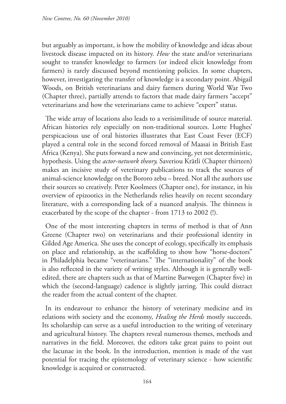but arguably as important, is how the mobility of knowledge and ideas about livestock disease impacted on its history. *How* the state and/or veterinarians sought to transfer knowledge to farmers (or indeed elicit knowledge from farmers) is rarely discussed beyond mentioning policies. In some chapters, however, investigating the transfer of knowledge is a secondary point. Abigail Woods, on British veterinarians and dairy farmers during World War Two (Chapter three), partially attends to factors that made dairy farmers "accept" veterinarians and how the veterinarians came to achieve "expert" status.

The wide array of locations also leads to a verisimilitude of source material. African histories rely especially on non-traditional sources. Lotte Hughes' perspicacious use of oral histories illustrates that East Coast Fever (ECF) played a central role in the second forced removal of Maasai in British East Africa (Kenya). She puts forward a new and convincing, yet not deterministic, hypothesis. Using the *actor-network theory,* Saveriou Krätli (Chapter thirteen) makes an incisive study of veterinary publications to track the sources of animal-science knowledge on the Bororo zebu – breed. Not all the authors use their sources so creatively. Peter Koolmees (Chapter one), for instance, in his overview of epizootics in the Netherlands relies heavily on recent secondary literature, with a corresponding lack of a nuanced analysis. The thinness is exacerbated by the scope of the chapter - from 1713 to 2002 (!).

One of the most interesting chapters in terms of method is that of Ann Greene (Chapter two) on veterinarians and their professional identity in Gilded Age America. She uses the concept of ecology, specifically its emphasis on place and relationship, as the scaffolding to show how "horse-doctors" in Philadelphia became "veterinarians." The "internationality" of the book is also reflected in the variety of writing styles. Although it is generally welledited, there are chapters such as that of Martine Barwegen (Chapter five) in which the (second-language) cadence is slightly jarring. This could distract the reader from the actual content of the chapter.

In its endeavour to enhance the history of veterinary medicine and its relations with society and the economy, *Healing the Herds* mostly succeeds. Its scholarship can serve as a useful introduction to the writing of veterinary and agricultural history. The chapters reveal numerous themes, methods and narratives in the field. Moreover, the editors take great pains to point out the lacunae in the book. In the introduction, mention is made of the vast potential for tracing the epistemology of veterinary science - how scientific knowledge is acquired or constructed.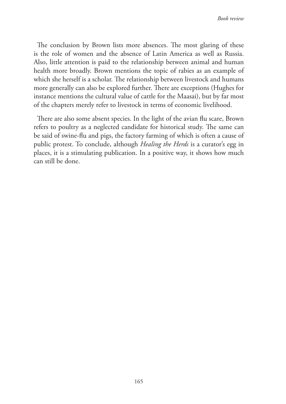The conclusion by Brown lists more absences. The most glaring of these is the role of women and the absence of Latin America as well as Russia. Also, little attention is paid to the relationship between animal and human health more broadly. Brown mentions the topic of rabies as an example of which she herself is a scholar. The relationship between livestock and humans more generally can also be explored further. There are exceptions (Hughes for instance mentions the cultural value of cattle for the Maasai), but by far most of the chapters merely refer to livestock in terms of economic livelihood.

There are also some absent species. In the light of the avian flu scare, Brown refers to poultry as a neglected candidate for historical study. The same can be said of swine-flu and pigs, the factory farming of which is often a cause of public protest. To conclude, although *Healing the Herds* is a curator's egg in places, it is a stimulating publication. In a positive way, it shows how much can still be done.